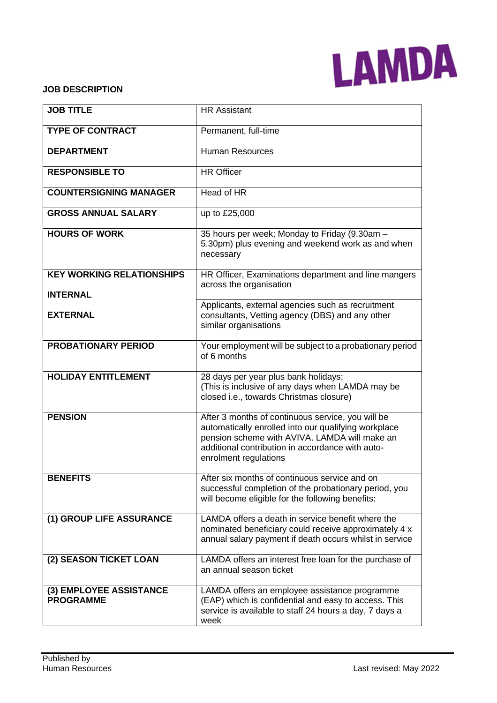

#### **JOB DESCRIPTION**

| <b>JOB TITLE</b>                                    | <b>HR Assistant</b>                                                                                                                                                                                                                     |  |  |
|-----------------------------------------------------|-----------------------------------------------------------------------------------------------------------------------------------------------------------------------------------------------------------------------------------------|--|--|
| <b>TYPE OF CONTRACT</b>                             | Permanent, full-time                                                                                                                                                                                                                    |  |  |
| <b>DEPARTMENT</b>                                   | <b>Human Resources</b>                                                                                                                                                                                                                  |  |  |
| <b>RESPONSIBLE TO</b>                               | <b>HR Officer</b>                                                                                                                                                                                                                       |  |  |
| <b>COUNTERSIGNING MANAGER</b>                       | Head of HR                                                                                                                                                                                                                              |  |  |
| <b>GROSS ANNUAL SALARY</b>                          | up to £25,000                                                                                                                                                                                                                           |  |  |
| <b>HOURS OF WORK</b>                                | 35 hours per week; Monday to Friday (9.30am -<br>5.30pm) plus evening and weekend work as and when<br>necessary                                                                                                                         |  |  |
| <b>KEY WORKING RELATIONSHIPS</b><br><b>INTERNAL</b> | HR Officer, Examinations department and line mangers<br>across the organisation                                                                                                                                                         |  |  |
| <b>EXTERNAL</b>                                     | Applicants, external agencies such as recruitment<br>consultants, Vetting agency (DBS) and any other<br>similar organisations                                                                                                           |  |  |
| <b>PROBATIONARY PERIOD</b>                          | Your employment will be subject to a probationary period<br>of 6 months                                                                                                                                                                 |  |  |
| <b>HOLIDAY ENTITLEMENT</b>                          | 28 days per year plus bank holidays;<br>(This is inclusive of any days when LAMDA may be<br>closed i.e., towards Christmas closure)                                                                                                     |  |  |
| <b>PENSION</b>                                      | After 3 months of continuous service, you will be<br>automatically enrolled into our qualifying workplace<br>pension scheme with AVIVA. LAMDA will make an<br>additional contribution in accordance with auto-<br>enrolment regulations |  |  |
| <b>BENEFITS</b>                                     | After six months of continuous service and on<br>successful completion of the probationary period, you<br>will become eligible for the following benefits:                                                                              |  |  |
| (1) GROUP LIFE ASSURANCE                            | LAMDA offers a death in service benefit where the<br>nominated beneficiary could receive approximately 4 x<br>annual salary payment if death occurs whilst in service                                                                   |  |  |
| (2) SEASON TICKET LOAN                              | LAMDA offers an interest free loan for the purchase of<br>an annual season ticket                                                                                                                                                       |  |  |
| (3) EMPLOYEE ASSISTANCE<br><b>PROGRAMME</b>         | LAMDA offers an employee assistance programme<br>(EAP) which is confidential and easy to access. This<br>service is available to staff 24 hours a day, 7 days a<br>week                                                                 |  |  |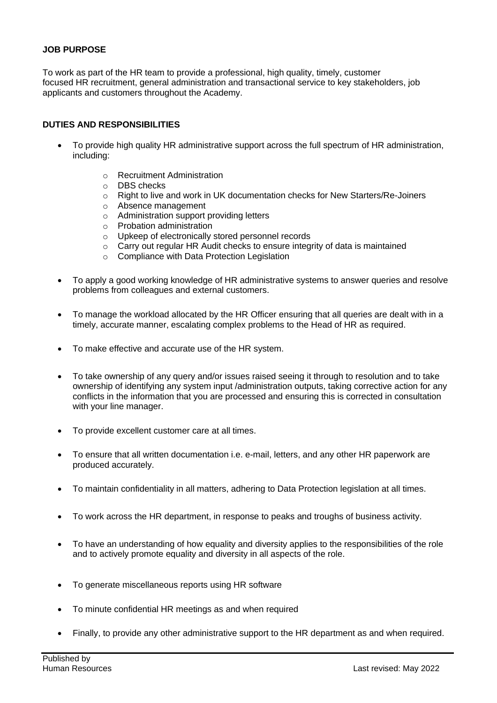## **JOB PURPOSE**

To work as part of the HR team to provide a professional, high quality, timely, customer focused HR recruitment, general administration and transactional service to key stakeholders, job applicants and customers throughout the Academy.

### **DUTIES AND RESPONSIBILITIES**

- To provide high quality HR administrative support across the full spectrum of HR administration, including:
	- o Recruitment Administration
	- o DBS checks
	- $\circ$  Right to live and work in UK documentation checks for New Starters/Re-Joiners
	- o Absence management
	- o Administration support providing letters
	- o Probation administration
	- o Upkeep of electronically stored personnel records
	- $\circ$  Carry out regular HR Audit checks to ensure integrity of data is maintained
	- o Compliance with Data Protection Legislation
- To apply a good working knowledge of HR administrative systems to answer queries and resolve problems from colleagues and external customers.
- To manage the workload allocated by the HR Officer ensuring that all queries are dealt with in a timely, accurate manner, escalating complex problems to the Head of HR as required.
- To make effective and accurate use of the HR system.
- To take ownership of any query and/or issues raised seeing it through to resolution and to take ownership of identifying any system input /administration outputs, taking corrective action for any conflicts in the information that you are processed and ensuring this is corrected in consultation with your line manager.
- To provide excellent customer care at all times.
- To ensure that all written documentation i.e. e-mail, letters, and any other HR paperwork are produced accurately.
- To maintain confidentiality in all matters, adhering to Data Protection legislation at all times.
- To work across the HR department, in response to peaks and troughs of business activity.
- To have an understanding of how equality and diversity applies to the responsibilities of the role and to actively promote equality and diversity in all aspects of the role.
- To generate miscellaneous reports using HR software
- To minute confidential HR meetings as and when required
- Finally, to provide any other administrative support to the HR department as and when required.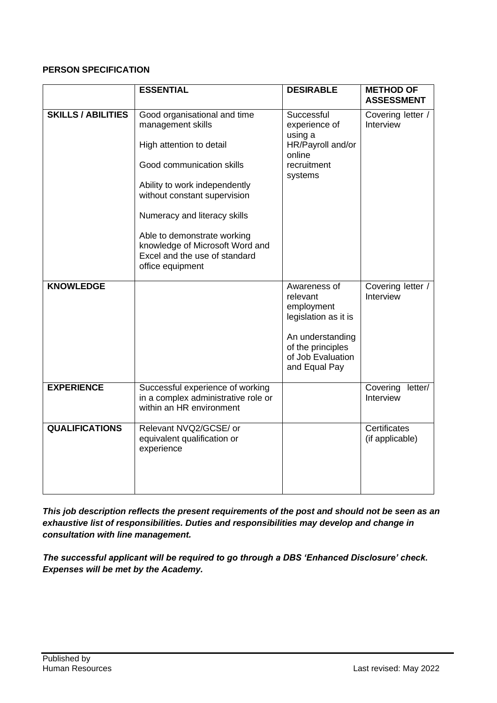# **PERSON SPECIFICATION**

|                           | <b>ESSENTIAL</b>                                                                                                                                                                                                                                                                                                                   | <b>DESIRABLE</b>                                                                                                                              | <b>METHOD OF</b><br><b>ASSESSMENT</b> |
|---------------------------|------------------------------------------------------------------------------------------------------------------------------------------------------------------------------------------------------------------------------------------------------------------------------------------------------------------------------------|-----------------------------------------------------------------------------------------------------------------------------------------------|---------------------------------------|
| <b>SKILLS / ABILITIES</b> | Good organisational and time<br>management skills<br>High attention to detail<br>Good communication skills<br>Ability to work independently<br>without constant supervision<br>Numeracy and literacy skills<br>Able to demonstrate working<br>knowledge of Microsoft Word and<br>Excel and the use of standard<br>office equipment | Successful<br>experience of<br>using a<br>HR/Payroll and/or<br>online<br>recruitment<br>systems                                               | Covering letter /<br>Interview        |
| <b>KNOWLEDGE</b>          |                                                                                                                                                                                                                                                                                                                                    | Awareness of<br>relevant<br>employment<br>legislation as it is<br>An understanding<br>of the principles<br>of Job Evaluation<br>and Equal Pay | Covering letter /<br>Interview        |
| <b>EXPERIENCE</b>         | Successful experience of working<br>in a complex administrative role or<br>within an HR environment                                                                                                                                                                                                                                |                                                                                                                                               | Covering<br>letter/<br>Interview      |
| <b>QUALIFICATIONS</b>     | Relevant NVQ2/GCSE/ or<br>equivalent qualification or<br>experience                                                                                                                                                                                                                                                                |                                                                                                                                               | Certificates<br>(if applicable)       |

*This job description reflects the present requirements of the post and should not be seen as an exhaustive list of responsibilities. Duties and responsibilities may develop and change in consultation with line management.*

*The successful applicant will be required to go through a DBS 'Enhanced Disclosure' check. Expenses will be met by the Academy.*